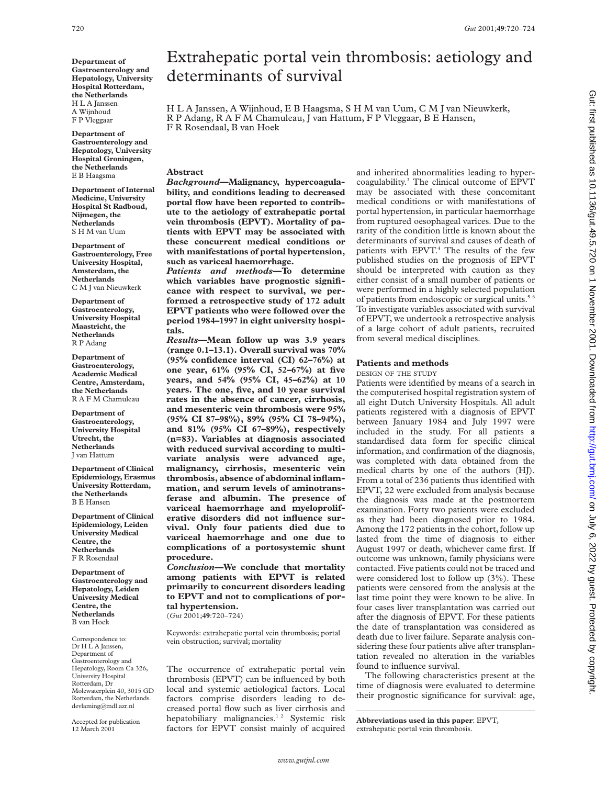**Department of Gastroenterology and Hepatology, University Hospital Rotterdam, the Netherlands** H<sub>L</sub>A Janssen A Wijnhoud F P Vleggaar

**Department of Gastroenterology and Hepatology, University Hospital Groningen, the Netherlands** E B Haagsma

**Department of Internal Medicine, University Hospital St Radboud, Nijmegen, the Netherlands** S H M van Uum

**Department of Gastroenterology, Free University Hospital, Amsterdam, the Netherlands** C M J van Nieuwkerk

**Department of Gastroenterology, University Hospital Maastricht, the Netherlands** R P Adang

**Department of Gastroenterology, Academic Medical Centre, Amsterdam, the Netherlands** R A F M Chamuleau

**Department of Gastroenterology, University Hospital Utrecht, the Netherlands** J van Hattum

**Department of Clinical Epidemiology, Erasmus University Rotterdam, the Netherlands** B E Hansen

**Department of Clinical Epidemiology, Leiden University Medical Centre, the Netherlands** F R Rosendaal

**Department of Gastroenterology and Hepatology, Leiden University Medical Centre, the Netherlands** B van Hoek

Correspondence to: Dr H L A Janssen, Department of Gastroenterology and Hepatology, Room Ca 326, University Hospital Rotterdam, Dr Molewaterplein 40, 3015 GD Rotterdam, the Netherlands. devlaming@mdl.azr.nl

Accepted for publication 12 March 2001

# Extrahepatic portal vein thrombosis: aetiology and determinants of survival

HLAJanssen, A Wijnhoud, E B Haagsma, S H M van Uum, C M J van Nieuwkerk, R P Adang, RAFM Chamuleau, J van Hattum, F P Vleggaar, B E Hansen, F R Rosendaal, B van Hoek

#### **Abstract**

*Background***—Malignancy, hypercoagulability, and conditions leading to decreased portal flow have been reported to contribute to the aetiology of extrahepatic portal vein thrombosis (EPVT). Mortality of patients with EPVT may be associated with these concurrent medical conditions or with manifestations of portal hypertension, such as variceal haemorrhage.**

*Patients and methods***—To determine which variables have prognostic significance with respect to survival, we performed a retrospective study of 172 adult EPVT patients who were followed over the period 1984–1997 in eight university hospitals.**

*Results***—Mean follow up was 3.9 years (range 0.1–13.1). Overall survival was 70% (95% confidence interval (CI) 62–76%) at one year, 61% (95% CI, 52–67%) at five years, and 54% (95% CI, 45–62%) at 10 years. The one, five, and 10 year survival rates in the absence of cancer, cirrhosis, and mesenteric vein thrombosis were 95% (95% CI 87–98%), 89% (95% CI 78–94%), and 81% (95% CI 67–89%), respectively (n=83). Variables at diagnosis associated with reduced survival according to multivariate analysis were advanced age, malignancy, cirrhosis, mesenteric vein thrombosis, absence of abdominal inflammation, and serum levels of aminotransferase and albumin. The presence of variceal haemorrhage and myeloproliferative disorders did not influence survival. Only four patients died due to variceal haemorrhage and one due to complications of a portosystemic shunt procedure.**

*Conclusion—***We conclude that mortality among patients with EPVT is related primarily to concurrent disorders leading to EPVT and not to complications of portal hypertension.** (*Gut* 2001;**49**:720–724)

Keywords: extrahepatic portal vein thrombosis; portal vein obstruction; survival; mortality

The occurrence of extrahepatic portal vein thrombosis (EPVT) can be influenced by both local and systemic aetiological factors. Local factors comprise disorders leading to decreased portal flow such as liver cirrhosis and hepatobiliary malignancies.<sup>12</sup> Systemic risk factors for EPVT consist mainly of acquired

and inherited abnormalities leading to hypercoagulability.3 The clinical outcome of EPVT may be associated with these concomitant medical conditions or with manifestations of portal hypertension, in particular haemorrhage from ruptured oesophageal varices. Due to the rarity of the condition little is known about the determinants of survival and causes of death of patients with EPVT.<sup>4</sup> The results of the few published studies on the prognosis of EPVT should be interpreted with caution as they either consist of a small number of patients or were performed in a highly selected population of patients from endoscopic or surgical units.<sup>5 6</sup> To investigate variables associated with survival of EPVT, we undertook a retrospective analysis of a large cohort of adult patients, recruited from several medical disciplines.

### **Patients and methods**

DESIGN OF THE STUDY

Patients were identified by means of a search in the computerised hospital registration system of all eight Dutch University Hospitals. All adult patients registered with a diagnosis of EPVT between January 1984 and July 1997 were included in the study. For all patients a standardised data form for specific clinical information, and confirmation of the diagnosis, was completed with data obtained from the medical charts by one of the authors (HJ). From a total of 236 patients thus identified with EPVT, 22 were excluded from analysis because the diagnosis was made at the postmortem examination. Forty two patients were excluded as they had been diagnosed prior to 1984. Among the 172 patients in the cohort, follow up lasted from the time of diagnosis to either August 1997 or death, whichever came first. If outcome was unknown, family physicians were contacted. Five patients could not be traced and were considered lost to follow up (3%). These patients were censored from the analysis at the last time point they were known to be alive. In four cases liver transplantation was carried out after the diagnosis of EPVT. For these patients the date of transplantation was considered as death due to liver failure. Separate analysis considering these four patients alive after transplantation revealed no alteration in the variables found to influence survival.

The following characteristics present at the time of diagnosis were evaluated to determine their prognostic significance for survival: age,

**Abbreviations used in this paper**: EPVT, extrahepatic portal vein thrombosis.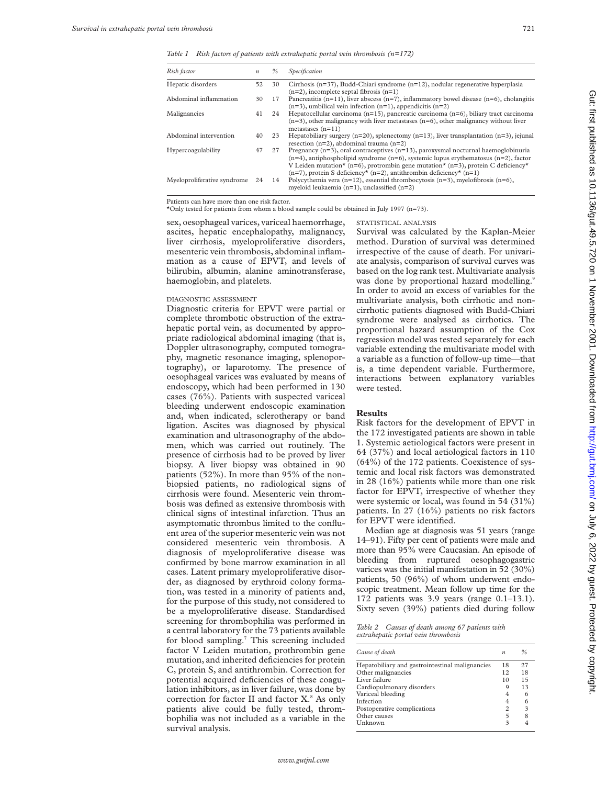*Table 1 Risk factors of patients with extrahepatic portal vein thrombosis (n=172)*

| Risk factor                 | $\boldsymbol{n}$ | $\frac{0}{n}$ | Specification                                                                                                                                                                                                                                                                                                                                                               |
|-----------------------------|------------------|---------------|-----------------------------------------------------------------------------------------------------------------------------------------------------------------------------------------------------------------------------------------------------------------------------------------------------------------------------------------------------------------------------|
| Hepatic disorders           | 52               | 30            | Cirrhosis ( $n=37$ ), Budd-Chiari syndrome ( $n=12$ ), nodular regenerative hyperplasia<br>$(n=2)$ , incomplete septal fibrosis $(n=1)$                                                                                                                                                                                                                                     |
| Abdominal inflammation      | 30               | 17            | Pancreatitis $(n=11)$ , liver abscess $(n=7)$ , inflammatory bowel disease $(n=6)$ , cholangitis<br>$(n=3)$ , umbilical vein infection $(n=1)$ , appendicitis $(n=2)$                                                                                                                                                                                                       |
| Malignancies                | 41               | 24            | Hepatocellular carcinoma $(n=15)$ , pancreatic carcinoma $(n=6)$ , biliary tract carcinoma<br>$(n=3)$ , other malignancy with liver metastases $(n=6)$ , other malignancy without liver<br>metastases $(n=11)$                                                                                                                                                              |
| Abdominal intervention      | 40               | 23            | Hepatobiliary surgery ( $n=20$ ), splenectomy ( $n=13$ ), liver transplantation ( $n=3$ ), jejunal<br>resection $(n=2)$ , abdominal trauma $(n=2)$                                                                                                                                                                                                                          |
| Hypercoagulability          | 47               | 27            | Pregnancy $(n=3)$ , oral contraceptives $(n=13)$ , paroxysmal nocturnal haemoglobinuria<br>$(n=4)$ , antiphospholipid syndrome $(n=6)$ , systemic lupus erythematosus $(n=2)$ , factor<br>V Leiden mutation* (n=6), protrombin gene mutation* (n=3), protein C deficiency*<br>$(n=7)$ , protein S deficiency <sup>*</sup> (n=2), antithrombin deficiency <sup>*</sup> (n=1) |
| Myeloproliferative syndrome | 24               | 14            | Polycythemia vera $(n=12)$ , essential thrombocytosis $(n=3)$ , myelofibrosis $(n=6)$ ,<br>myeloid leukaemia $(n=1)$ , unclassified $(n=2)$                                                                                                                                                                                                                                 |

Patients can have more than one risk factor.

\*Only tested for patients from whom a blood sample could be obtained in July 1997 (n=73).

sex, oesophageal varices, variceal haemorrhage, ascites, hepatic encephalopathy, malignancy, liver cirrhosis, myeloproliferative disorders, mesenteric vein thrombosis, abdominal inflammation as a cause of EPVT, and levels of bilirubin, albumin, alanine aminotransferase, haemoglobin, and platelets.

#### DIAGNOSTIC ASSESSMENT

Diagnostic criteria for EPVT were partial or complete thrombotic obstruction of the extrahepatic portal vein, as documented by appropriate radiological abdominal imaging (that is, Doppler ultrasonography, computed tomography, magnetic resonance imaging, splenoportography), or laparotomy. The presence of oesophageal varices was evaluated by means of endoscopy, which had been performed in 130 cases (76%). Patients with suspected variceal bleeding underwent endoscopic examination and, when indicated, sclerotherapy or band ligation. Ascites was diagnosed by physical examination and ultrasonography of the abdomen, which was carried out routinely. The presence of cirrhosis had to be proved by liver biopsy. A liver biopsy was obtained in 90 patients (52%). In more than 95% of the nonbiopsied patients, no radiological signs of cirrhosis were found. Mesenteric vein thrombosis was defined as extensive thrombosis with clinical signs of intestinal infarction. Thus an asymptomatic thrombus limited to the confluent area of the superior mesenteric vein was not considered mesenteric vein thrombosis. A diagnosis of myeloproliferative disease was confirmed by bone marrow examination in all cases. Latent primary myeloproliferative disorder, as diagnosed by erythroid colony formation, was tested in a minority of patients and, for the purpose of this study, not considered to be a myeloproliferative disease. Standardised screening for thrombophilia was performed in a central laboratory for the 73 patients available for blood sampling.7 This screening included factor V Leiden mutation, prothrombin gene mutation, and inherited deficiencies for protein C, protein S, and antithrombin. Correction for potential acquired deficiencies of these coagulation inhibitors, as in liver failure, was done by correction for factor II and factor X.<sup>8</sup> As only patients alive could be fully tested, thrombophilia was not included as a variable in the survival analysis.

STATISTICAL ANALYSIS Survival was calculated by the Kaplan-Meier method. Duration of survival was determined irrespective of the cause of death. For univariate analysis, comparison of survival curves was based on the log rank test. Multivariate analysis was done by proportional hazard modelling.<sup>9</sup> In order to avoid an excess of variables for the multivariate analysis, both cirrhotic and noncirrhotic patients diagnosed with Budd-Chiari syndrome were analysed as cirrhotics. The proportional hazard assumption of the Cox regression model was tested separately for each variable extending the multivariate model with a variable as a function of follow-up time—that is, a time dependent variable. Furthermore, interactions between explanatory variables were tested.

#### **Results**

Risk factors for the development of EPVT in the 172 investigated patients are shown in table 1. Systemic aetiological factors were present in 64 (37%) and local aetiological factors in 110 (64%) of the 172 patients. Coexistence of systemic and local risk factors was demonstrated in 28 (16%) patients while more than one risk factor for EPVT, irrespective of whether they were systemic or local, was found in 54 (31%) patients. In 27 (16%) patients no risk factors for EPVT were identified.

Median age at diagnosis was 51 years (range 14–91). Fifty per cent of patients were male and more than 95% were Caucasian. An episode of bleeding from ruptured oesophagogastric varices was the initial manifestation in 52 (30%) patients, 50 (96%) of whom underwent endoscopic treatment. Mean follow up time for the 172 patients was 3.9 years (range 0.1–13.1). Sixty seven (39%) patients died during follow

*Table 2 Causes of death among 67 patients with extrahepatic portal vein thrombosis*

| Cause of death                                  | $\boldsymbol{n}$ | %  |
|-------------------------------------------------|------------------|----|
| Hepatobiliary and gastrointestinal malignancies | 18               | 27 |
| Other malignancies                              | 12               | 18 |
| Liver failure                                   | 10               | 15 |
| Cardiopulmonary disorders                       | 9                | 13 |
| Variceal bleeding                               | 4                | 6  |
| Infection                                       | 4                | 6  |
| Postoperative complications                     | 2                | 3  |
| Other causes                                    | 5                |    |
| Unknown                                         | 3                |    |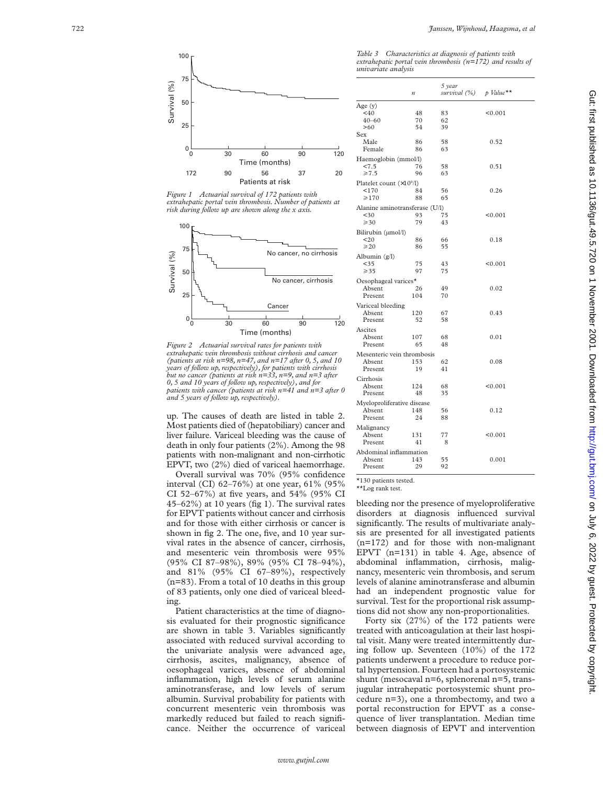

*Figure 1 Actuarial survival of 172 patients with extrahepatic portal vein thrombosis. Number of patients at risk during follow up are shown along the x axis.*



*Figure 2 Actuarial survival rates for patients with extrahepatic vein thrombosis without cirrhosis and cancer (patients at risk n=98, n=47, and n=17 after 0, 5, and 10 years of follow up, respectively), for patients with cirrhosis but no cancer (patients at risk n=33, n=9, and n=3 after 0, 5 and 10 years of follow up, respectively), and for patients with cancer (patients at risk n=41 and n=3 after 0 and 5 years of follow up, respectively).*

up. The causes of death are listed in table 2. Most patients died of (hepatobiliary) cancer and liver failure. Variceal bleeding was the cause of death in only four patients (2%). Among the 98 patients with non-malignant and non-cirrhotic EPVT, two (2%) died of variceal haemorrhage.

Overall survival was 70% (95% confidence interval (CI) 62–76%) at one year, 61% (95% CI 52–67%) at five years, and 54% (95% CI 45–62%) at 10 years (fig 1). The survival rates for EPVT patients without cancer and cirrhosis and for those with either cirrhosis or cancer is shown in fig 2. The one, five, and 10 year survival rates in the absence of cancer, cirrhosis, and mesenteric vein thrombosis were 95% (95% CI 87–98%), 89% (95% CI 78–94%), and 81% (95% CI 67–89%), respectively (n=83). From a total of 10 deaths in this group of 83 patients, only one died of variceal bleeding.

Patient characteristics at the time of diagnosis evaluated for their prognostic significance are shown in table 3. Variables significantly associated with reduced survival according to the univariate analysis were advanced age, cirrhosis, ascites, malignancy, absence of oesophageal varices, absence of abdominal inflammation, high levels of serum alanine aminotransferase, and low levels of serum albumin. Survival probability for patients with concurrent mesenteric vein thrombosis was markedly reduced but failed to reach significance. Neither the occurrence of variceal

*Table 3 Characteristics at diagnosis of patients with extrahepatic portal vein thrombosis (n=172) and results of univariate analysis* 

|                                  | $\boldsymbol{n}$ | 5 year<br>survival (%) | $p$ Value** |
|----------------------------------|------------------|------------------------|-------------|
| Age (y)                          |                  |                        |             |
| $<$ 40                           | 48               | 83                     | < 0.001     |
| $40 - 60$                        | 70               | 62                     |             |
| >60                              | 54               | 39                     |             |
| Sex                              |                  |                        |             |
| Male                             | 86               | 58                     | 0.52        |
| Female                           | 86               | 63                     |             |
| Haemoglobin (mmol/l)             |                  |                        |             |
| 27.5                             | 76               | 58                     | 0.51        |
| $\geq 7.5$                       | 96               | 63                     |             |
|                                  |                  |                        |             |
| Platelet count $(\times 10^9/l)$ |                  |                        |             |
| 170                              | 84               | 56                     | 0.26        |
| $\geq 170$                       | 88               | 65                     |             |
| Alanine aminotransferase (U/l)   |                  |                        |             |
| < 30                             | 93               | 75                     | < 0.001     |
| $\geq 30$                        | 79               | 43                     |             |
| Bilirubin (µmol/l)               |                  |                        |             |
| 20                               | 86               | 66                     | 0.18        |
| $\geq 20$                        | 86               | 55                     |             |
|                                  |                  |                        |             |
| Albumin $(g/l)$                  |                  |                        |             |
| $35$                             | 75               | 43                     | < 0.001     |
| $\geqslant$ 35                   | 97               | 75                     |             |
| Oesophageal varices*             |                  |                        |             |
| Absent                           | 26               | 49                     | 0.02        |
| Present                          | 104              | 70                     |             |
| Variceal bleeding                |                  |                        |             |
| Absent                           | 120              | 67                     | 0.43        |
| Present                          | 52               | 58                     |             |
|                                  |                  |                        |             |
| Ascites                          |                  |                        |             |
| Absent                           | 107              | 68                     | 0.01        |
| Present                          | 65               | 48                     |             |
| Mesenteric vein thrombosis       |                  |                        |             |
| Absent                           | 153              | 62                     | 0.08        |
| Present                          | 19               | 41                     |             |
| Cirrhosis                        |                  |                        |             |
| Absent                           | 124              | 68                     | < 0.001     |
| Present                          | 48               | 35                     |             |
|                                  |                  |                        |             |
| Myeloproliferative disease       |                  |                        |             |
| Absent                           | 148              | 56                     | 0.12        |
| Present                          | 24               | 88                     |             |
| Malignancy                       |                  |                        |             |
| Absent                           | 131              | 77                     | < 0.001     |
| Present                          | 41               | 8                      |             |
| Abdominal inflammation           |                  |                        |             |
| Absent                           | 143              | 55                     | 0.001       |
| Present                          | 29               | 92                     |             |
|                                  |                  |                        |             |

\*130 patients tested. \*\*Log rank test.

bleeding nor the presence of myeloproliferative disorders at diagnosis influenced survival significantly. The results of multivariate analysis are presented for all investigated patients (n=172) and for those with non-malignant EPVT (n=131) in table 4. Age, absence of abdominal inflammation, cirrhosis, malignancy, mesenteric vein thrombosis, and serum levels of alanine aminotransferase and albumin had an independent prognostic value for survival. Test for the proportional risk assumptions did not show any non-proportionalities.

Forty six (27%) of the 172 patients were treated with anticoagulation at their last hospital visit. Many were treated intermittently during follow up. Seventeen (10%) of the 172 patients underwent a procedure to reduce portal hypertension. Fourteen had a portosystemic shunt (mesocaval n=6, splenorenal n=5, transjugular intrahepatic portosystemic shunt procedure n=3), one a thrombectomy, and two a portal reconstruction for EPVT as a consequence of liver transplantation. Median time between diagnosis of EPVT and intervention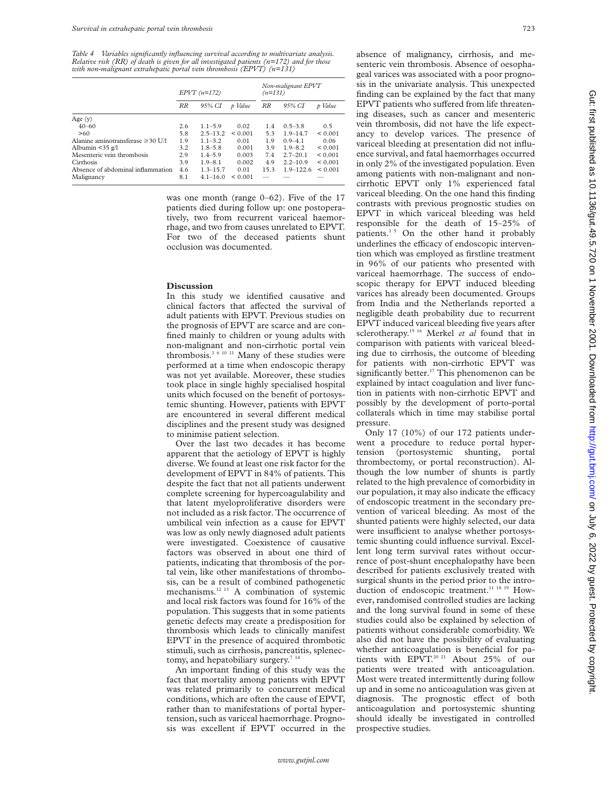*Table 4 Variables significantly influencing survival according to multivariate analysis. Relative risk (RR) of death is given for all investigated patients (n=172) and for those with non-malignant extrahepatic portal vein thrombosis (EPVT) (n=131)*

|                                        |           | $EPVT (n=172)$ |         | Non-malignant EPVT<br>$(n=131)$ |               |         |
|----------------------------------------|-----------|----------------|---------|---------------------------------|---------------|---------|
|                                        | <b>RR</b> | 95% CI         | p Value | RR                              | 95% CI        | p Value |
| Age $(y)$                              |           |                |         |                                 |               |         |
| $40 - 60$                              | 2.6       | $1.1 - 5.9$    | 0.02    | 1.4                             | $0.5 - 3.8$   | 0.5     |
| >60                                    | 5.8       | $2.5 - 13.2$   | < 0.001 | 5.3                             | $1.9 - 14.7$  | < 0.001 |
| Alanine aminotransferase $\geq 30$ U/l | 1.9       | $1.1 - 3.2$    | 0.01    | 1.9                             | $0.9 - 4.1$   | 0.06    |
| Albumin $\leq$ 35 g/l                  | 3.2       | $1.8 - 5.8$    | 0.001   | 3.9                             | $1.9 - 8.2$   | < 0.001 |
| Mesenteric vein thrombosis             | 2.9       | $1.4 - 5.9$    | 0.003   | 7.4                             | $2.7 - 20.1$  | < 0.001 |
| Cirrhosis                              | 3.9       | $1.9 - 8.1$    | 0.002   | 4.9                             | $2.2 - 10.9$  | < 0.001 |
| Absence of abdominal inflammation      | 4.6       | $1.3 - 15.7$   | 0.01    | 15.3                            | $1.9 - 122.6$ | < 0.001 |
| Malignancy                             | 8.1       | $4.1 - 16.0$   | < 0.001 |                                 |               |         |

was one month (range 0–62). Five of the 17 patients died during follow up: one postoperatively, two from recurrent variceal haemorrhage, and two from causes unrelated to EPVT. For two of the deceased patients shunt occlusion was documented.

#### **Discussion**

In this study we identified causative and clinical factors that affected the survival of adult patients with EPVT. Previous studies on the prognosis of EPVT are scarce and are confined mainly to children or young adults with non-malignant and non-cirrhotic portal vein thrombosis.<sup>1 6 10 11</sup> Many of these studies were performed at a time when endoscopic therapy was not yet available. Moreover, these studies took place in single highly specialised hospital units which focused on the benefit of portosystemic shunting. However, patients with EPVT are encountered in several different medical disciplines and the present study was designed to minimise patient selection.

Over the last two decades it has become apparent that the aetiology of EPVT is highly diverse. We found at least one risk factor for the development of EPVT in 84% of patients. This despite the fact that not all patients underwent complete screening for hypercoagulability and that latent myeloproliferative disorders were not included as a risk factor. The occurrence of umbilical vein infection as a cause for EPVT was low as only newly diagnosed adult patients were investigated. Coexistence of causative factors was observed in about one third of patients, indicating that thrombosis of the portal vein, like other manifestations of thrombosis, can be a result of combined pathogenetic mechanisms.12 13 A combination of systemic and local risk factors was found for 16% of the population. This suggests that in some patients genetic defects may create a predisposition for thrombosis which leads to clinically manifest EPVT in the presence of acquired thrombotic stimuli, such as cirrhosis, pancreatitis, splenectomy, and hepatobiliary surgery.<sup>7 14</sup>

An important finding of this study was the fact that mortality among patients with EPVT was related primarily to concurrent medical conditions, which are often the cause of EPVT, rather than to manifestations of portal hypertension, such as variceal haemorrhage. Prognosis was excellent if EPVT occurred in the absence of malignancy, cirrhosis, and mesenteric vein thrombosis. Absence of oesophageal varices was associated with a poor prognosis in the univariate analysis. This unexpected finding can be explained by the fact that many EPVT patients who suffered from life threatening diseases, such as cancer and mesenteric vein thrombosis, did not have the life expectancy to develop varices. The presence of variceal bleeding at presentation did not influence survival, and fatal haemorrhages occurred in only 2% of the investigated population. Even among patients with non-malignant and noncirrhotic EPVT only 1% experienced fatal variceal bleeding. On the one hand this finding contrasts with previous prognostic studies on EPVT in which variceal bleeding was held responsible for the death of 15–25% of patients.<sup>15</sup> On the other hand it probably underlines the efficacy of endoscopic intervention which was employed as firstline treatment in 96% of our patients who presented with variceal haemorrhage. The success of endoscopic therapy for EPVT induced bleeding varices has already been documented. Groups from India and the Netherlands reported a negligible death probability due to recurrent EPVT induced variceal bleeding five years after sclerotherapy.15 16 Merkel *et al* found that in comparison with patients with variceal bleeding due to cirrhosis, the outcome of bleeding for patients with non-cirrhotic EPVT was significantly better.<sup>17</sup> This phenomenon can be explained by intact coagulation and liver function in patients with non-cirrhotic EPVT and possibly by the development of porto-portal collaterals which in time may stabilise portal pressure.

Only 17 (10%) of our 172 patients underwent a procedure to reduce portal hypertension (portosystemic shunting, portal thrombectomy, or portal reconstruction). Although the low number of shunts is partly related to the high prevalence of comorbidity in our population, it may also indicate the efficacy of endoscopic treatment in the secondary prevention of variceal bleeding. As most of the shunted patients were highly selected, our data were insufficient to analyse whether portosystemic shunting could influence survival. Excellent long term survival rates without occurrence of post-shunt encephalopathy have been described for patients exclusively treated with surgical shunts in the period prior to the introduction of endoscopic treatment.<sup>11 18 19</sup> However, randomised controlled studies are lacking and the long survival found in some of these studies could also be explained by selection of patients without considerable comorbidity. We also did not have the possibility of evaluating whether anticoagulation is beneficial for patients with EPVT.<sup>20 21</sup> About 25% of our patients were treated with anticoagulation. Most were treated intermittently during follow up and in some no anticoagulation was given at diagnosis. The prognostic effect of both anticoagulation and portosystemic shunting should ideally be investigated in controlled prospective studies.